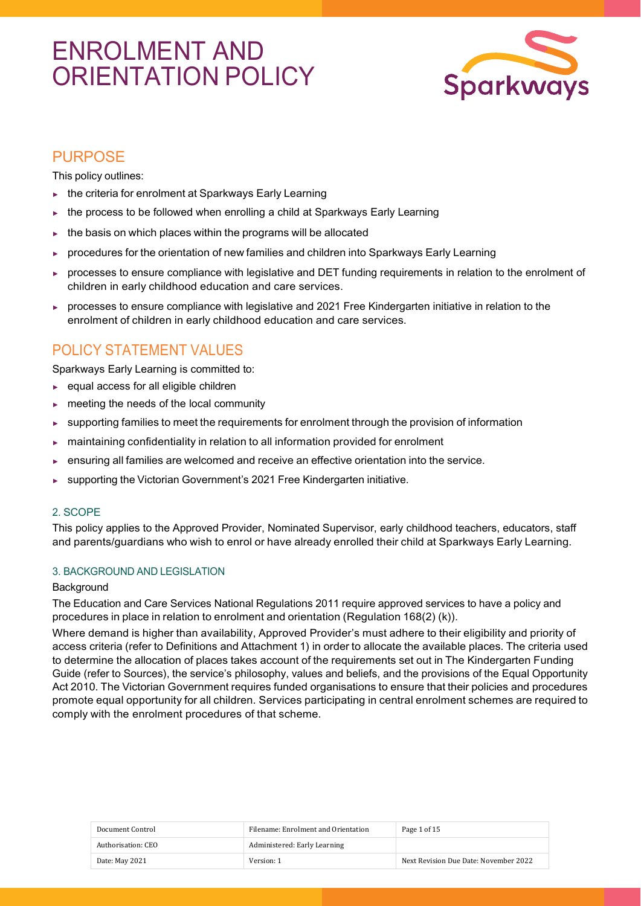# ENROLMENT AND ORIENTATION POLICY



# PURPOSE

This policy outlines:

- ► the criteria for enrolment at Sparkways Early Learning
- ► the process to be followed when enrolling a child at Sparkways Early Learning
- $\triangleright$  the basis on which places within the programs will be allocated
- procedures for the orientation of new families and children into Sparkways Early Learning
- processes to ensure compliance with legislative and DET funding requirements in relation to the enrolment of children in early childhood education and care services.
- ► processes to ensure compliance with legislative and 2021 Free Kindergarten initiative in relation to the enrolment of children in early childhood education and care services.

# POLICY STATEMENT VALUES

Sparkways Early Learning is committed to:

- ► equal access for all eligible children
- ► meeting the needs of the local community
- ► supporting families to meet the requirements for enrolment through the provision of information
- ► maintaining confidentiality in relation to all information provided for enrolment
- ensuring all families are welcomed and receive an effective orientation into the service.
- ► supporting the Victorian Government's 2021 Free Kindergarten initiative.

## 2. SCOPE

This policy applies to the Approved Provider, Nominated Supervisor, early childhood teachers, educators, staff and parents/guardians who wish to enrol or have already enrolled their child at Sparkways Early Learning.

## 3. BACKGROUND AND LEGISLATION

## **Background**

The Education and Care Services National Regulations 2011 require approved services to have a policy and procedures in place in relation to enrolment and orientation (Regulation 168(2) (k)).

Where demand is higher than availability, Approved Provider's must adhere to their eligibility and priority of access criteria (refer to Definitions and Attachment 1) in order to allocate the available places. The criteria used to determine the allocation of places takes account of the requirements set out in The Kindergarten Funding Guide (refer to Sources), the service's philosophy, values and beliefs, and the provisions of the Equal Opportunity Act 2010. The Victorian Government requires funded organisations to ensure that their policies and procedures promote equal opportunity for all children. Services participating in central enrolment schemes are required to comply with the enrolment procedures of that scheme.

| Document Control   | Filename: Enrolment and Orientation | Page 1 of 15                          |
|--------------------|-------------------------------------|---------------------------------------|
| Authorisation: CEO | Administered: Early Learning        |                                       |
| Date: May 2021     | Version: 1                          | Next Revision Due Date: November 2022 |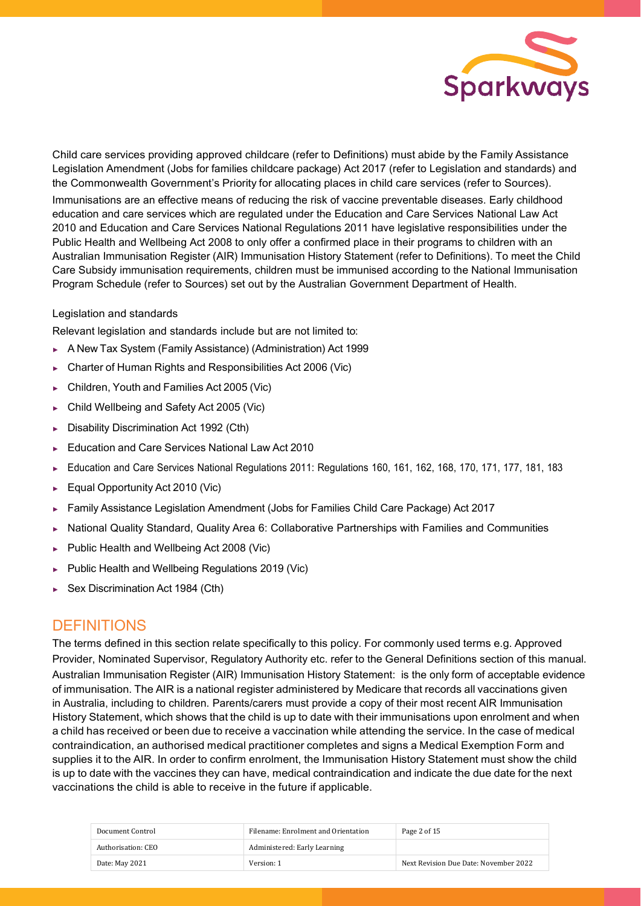

Child care services providing approved childcare (refer to Definitions) must abide by the Family Assistance Legislation Amendment (Jobs for families childcare package) Act 2017 (refer to Legislation and standards) and the Commonwealth Government's Priority for allocating places in child care services (refer to Sources).

Immunisations are an effective means of reducing the risk of vaccine preventable diseases. Early childhood education and care services which are regulated under the Education and Care Services National Law Act 2010 and Education and Care Services National Regulations 2011 have legislative responsibilities under the Public Health and Wellbeing Act 2008 to only offer a confirmed place in their programs to children with an Australian Immunisation Register (AIR) Immunisation History Statement (refer to Definitions). To meet the Child Care Subsidy immunisation requirements, children must be immunised according to the National Immunisation Program Schedule (refer to Sources) set out by the Australian Government Department of Health.

## Legislation and standards

Relevant legislation and standards include but are not limited to:

- ► A New Tax System (Family Assistance) (Administration) Act 1999
- ► Charter of Human Rights and Responsibilities Act 2006 (Vic)
- ► Children, Youth and Families Act 2005 (Vic)
- ► Child Wellbeing and Safety Act 2005 (Vic)
- ► Disability Discrimination Act 1992 (Cth)
- ► Education and Care Services National Law Act 2010
- ► Education and Care Services National Regulations 2011: Regulations 160, 161, 162, 168, 170, 171, 177, 181, 183
- ► Equal Opportunity Act 2010 (Vic)
- ► Family Assistance Legislation Amendment (Jobs for Families Child Care Package) Act 2017
- ► National Quality Standard, Quality Area 6: Collaborative Partnerships with Families and Communities
- ► Public Health and Wellbeing Act 2008 (Vic)
- ► Public Health and Wellbeing Regulations 2019 (Vic)
- ► Sex Discrimination Act 1984 (Cth)

## **DEFINITIONS**

The terms defined in this section relate specifically to this policy. For commonly used terms e.g. Approved Provider, Nominated Supervisor, Regulatory Authority etc. refer to the General Definitions section of this manual. Australian Immunisation Register (AIR) Immunisation History Statement: is the only form of acceptable evidence of immunisation. The AIR is a national register administered by Medicare that records all vaccinations given in Australia, including to children. Parents/carers must provide a copy of their most recent AIR Immunisation History Statement, which shows that the child is up to date with their immunisations upon enrolment and when a child has received or been due to receive a vaccination while attending the service. In the case of medical contraindication, an authorised medical practitioner completes and signs a Medical Exemption Form and supplies it to the AIR. In order to confirm enrolment, the Immunisation History Statement must show the child is up to date with the vaccines they can have, medical contraindication and indicate the due date for the next vaccinations the child is able to receive in the future if applicable.

| Document Control   | Filename: Enrolment and Orientation | Page 2 of 15                          |
|--------------------|-------------------------------------|---------------------------------------|
| Authorisation: CEO | Administered: Early Learning        |                                       |
| Date: May 2021     | Version: 1                          | Next Revision Due Date: November 2022 |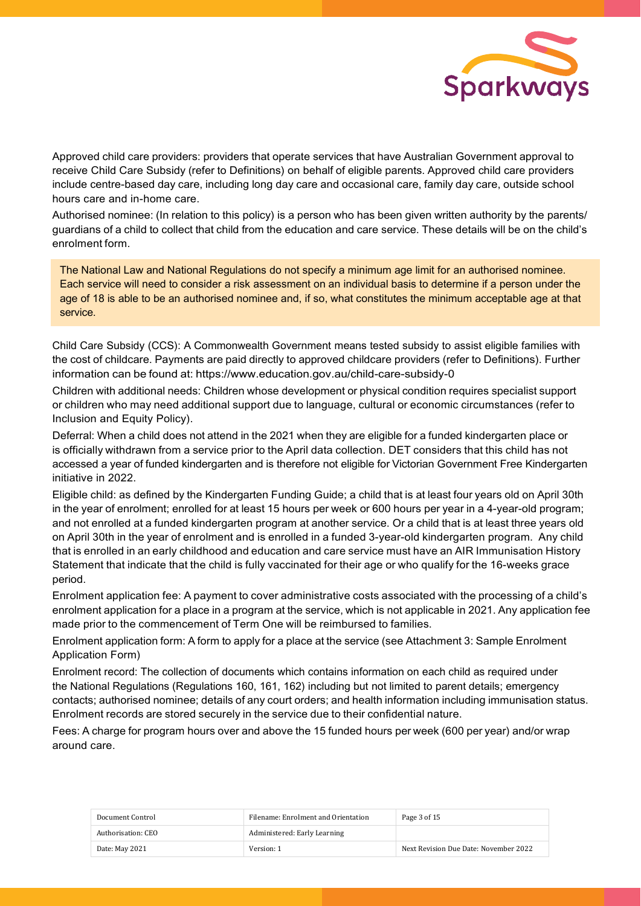

Approved child care providers: providers that operate services that have Australian Government approval to receive Child Care Subsidy (refer to Definitions) on behalf of eligible parents. Approved child care providers include centre-based day care, including long day care and occasional care, family day care, outside school hours care and in-home care.

Authorised nominee: (In relation to this policy) is a person who has been given written authority by the parents/ guardians of a child to collect that child from the education and care service. These details will be on the child's enrolment form.

The National Law and National Regulations do not specify a minimum age limit for an authorised nominee. Each service will need to consider a risk assessment on an individual basis to determine if a person under the age of 18 is able to be an authorised nominee and, if so, what constitutes the minimum acceptable age at that service.

Child Care Subsidy (CCS): A Commonwealth Government means tested subsidy to assist eligible families with the cost of childcare. Payments are paid directly to approved childcare providers (refer to Definitions). Further information can be found at: https:/[/www.education.gov.au/child-care-subsidy-0](http://www.education.gov.au/child-care-subsidy-0)

Children with additional needs: Children whose development or physical condition requires specialist support or children who may need additional support due to language, cultural or economic circumstances (refer to Inclusion and Equity Policy).

Deferral: When a child does not attend in the 2021 when they are eligible for a funded kindergarten place or is officially withdrawn from a service prior to the April data collection. DET considers that this child has not accessed a year of funded kindergarten and is therefore not eligible for Victorian Government Free Kindergarten initiative in 2022.

Eligible child: as defined by the Kindergarten Funding Guide; a child that is at least four years old on April 30th in the year of enrolment; enrolled for at least 15 hours per week or 600 hours per year in a 4-year-old program; and not enrolled at a funded kindergarten program at another service. Or a child that is at least three years old on April 30th in the year of enrolment and is enrolled in a funded 3-year-old kindergarten program. Any child that is enrolled in an early childhood and education and care service must have an AIR Immunisation History Statement that indicate that the child is fully vaccinated for their age or who qualify for the 16-weeks grace period.

Enrolment application fee: A payment to cover administrative costs associated with the processing of a child's enrolment application for a place in a program at the service, which is not applicable in 2021. Any application fee made prior to the commencement of Term One will be reimbursed to families.

Enrolment application form: A form to apply for a place at the service (see Attachment 3: Sample Enrolment Application Form)

Enrolment record: The collection of documents which contains information on each child as required under the National Regulations (Regulations 160, 161, 162) including but not limited to parent details; emergency contacts; authorised nominee; details of any court orders; and health information including immunisation status. Enrolment records are stored securely in the service due to their confidential nature.

Fees: A charge for program hours over and above the 15 funded hours per week (600 per year) and/or wrap around care.

| Document Control   | Filename: Enrolment and Orientation | Page 3 of 15                          |
|--------------------|-------------------------------------|---------------------------------------|
| Authorisation: CEO | Administered: Early Learning        |                                       |
| Date: May 2021     | Version: 1                          | Next Revision Due Date: November 2022 |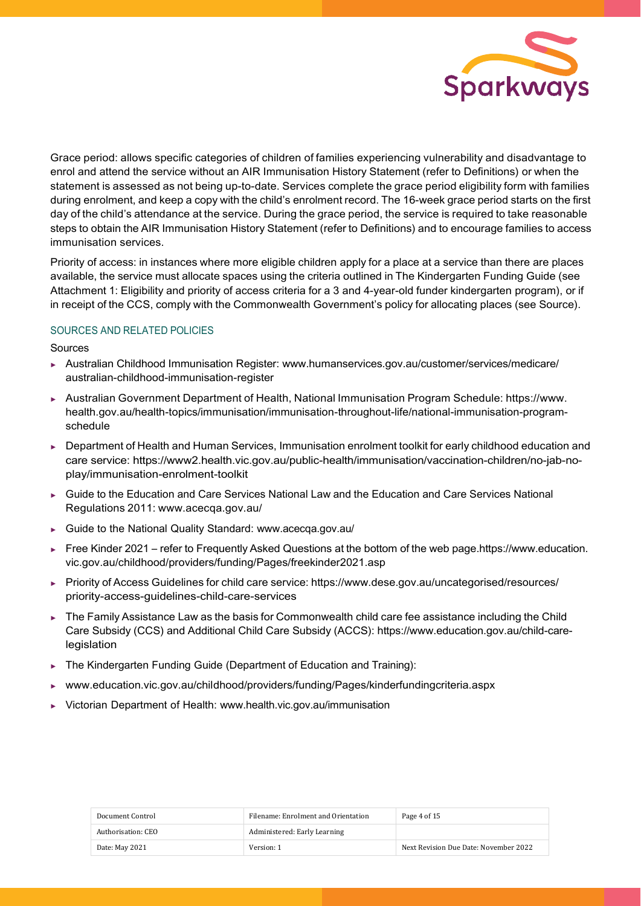

Grace period: allows specific categories of children of families experiencing vulnerability and disadvantage to enrol and attend the service without an AIR Immunisation History Statement (refer to Definitions) or when the statement is assessed as not being up-to-date. Services complete the grace period eligibility form with families during enrolment, and keep a copy with the child's enrolment record. The 16-week grace period starts on the first day of the child's attendance at the service. During the grace period, the service is required to take reasonable steps to obtain the AIR Immunisation History Statement (refer to Definitions) and to encourage families to access immunisation services.

Priority of access: in instances where more eligible children apply for a place at a service than there are places available, the service must allocate spaces using the criteria outlined in The Kindergarten Funding Guide (see Attachment 1: Eligibility and priority of access criteria for a 3 and 4-year-old funder kindergarten program), or if in receipt of the CCS, comply with the Commonwealth Government's policy for allocating places (see Source).

## SOURCES AND RELATED POLICIES

Sources

- ► Australian Childhood Immunisation Register: [www.humanservices.gov.au/customer/services/medicare/](http://www.humanservices.gov.au/customer/services/medicare/) australian-childhood-immunisation-register
- ► Australian Government Department of Health, National Immunisation Program Schedule: https:/[/www.](http://www/) health.gov.au/health-topics/immunisation/immunisation-throughout-life/national-immunisation-programschedule
- Department of Health and Human Services, Immunisation enrolment toolkit for early childhood education and care service: https://www2.health.vic.gov.au/public-health/immunisation/vaccination-children/no-jab-noplay/immunisation-enrolment-toolkit
- Guide to the Education and Care Services National Law and the Education and Care Services National Regulations 2011: [www.acecqa.gov.au/](http://www.acecqa.gov.au/)
- Guide to the National Quality Standard: [www.acecqa.gov.au/](http://www.acecqa.gov.au/)
- ► Free Kinder 2021 refer to Frequently Asked Questions at the bottom of the web page.https://www.education. vic.gov.au/childhood/providers/funding/Pages/freekinder2021.asp
- ► Priority of Access Guidelines for child care service: https:/[/www.dese.gov.au/uncategorised/resources/](http://www.dese.gov.au/uncategorised/resources/) priority-access-guidelines-child-care-services
- The Family Assistance Law as the basis for Commonwealth child care fee assistance including the Child Care Subsidy (CCS) and Additional Child Care Subsidy (ACCS): https:[//www.education.gov.au/child-care](http://www.education.gov.au/child-care-)legislation
- The Kindergarten Funding Guide (Department of Education and Training):
- ► [www.education.vic.gov.au/childhood/providers/funding/Pages/kinderfundingcriteria.aspx](http://www.education.vic.gov.au/childhood/providers/funding/Pages/kinderfundingcriteria.aspx)
- ► Victorian Department of Health: [www.health.vic.gov.au/immunisation](http://www.health.vic.gov.au/immunisation)

| Document Control   | Filename: Enrolment and Orientation | Page 4 of 15                          |
|--------------------|-------------------------------------|---------------------------------------|
| Authorisation: CEO | Administered: Early Learning        |                                       |
| Date: May 2021     | Version: 1                          | Next Revision Due Date: November 2022 |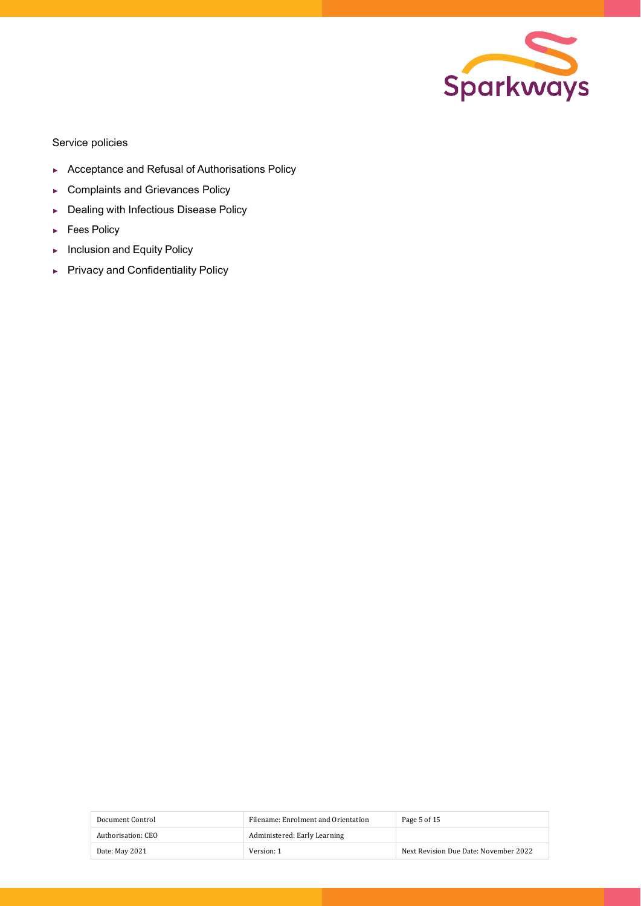

Service policies

- ► Acceptance and Refusal of Authorisations Policy
- ► Complaints and Grievances Policy
- ► Dealing with Infectious Disease Policy
- ► Fees Policy
- ► Inclusion and Equity Policy
- ► Privacy and Confidentiality Policy

| Document Control   | Filename: Enrolment and Orientation | Page 5 of 15                          |
|--------------------|-------------------------------------|---------------------------------------|
| Authorisation: CEO | Administered: Early Learning        |                                       |
| Date: May 2021     | Version: 1                          | Next Revision Due Date: November 2022 |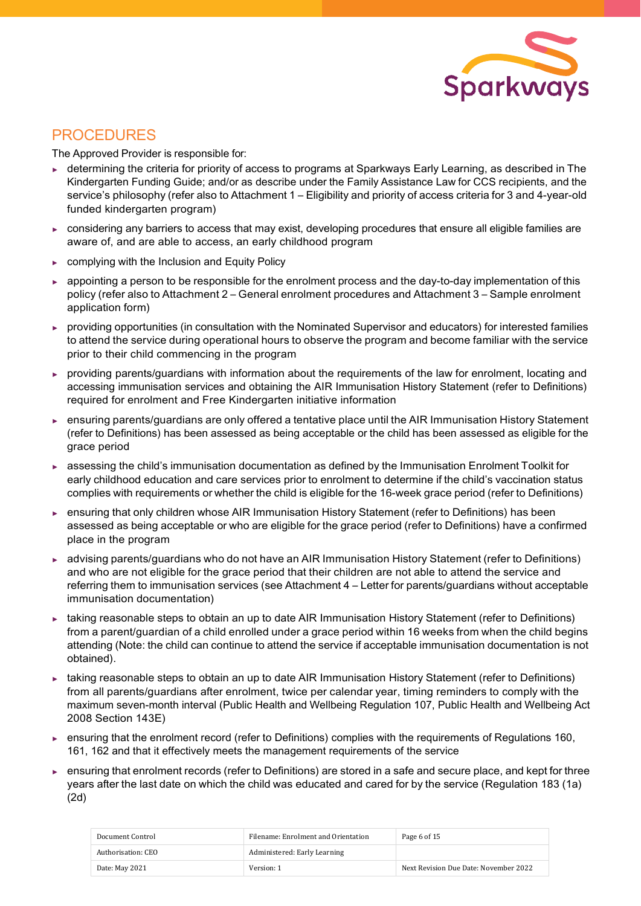

## PROCEDURES

The Approved Provider is responsible for:

- ► determining the criteria for priority of access to programs at Sparkways Early Learning, as described in The Kindergarten Funding Guide; and/or as describe under the Family Assistance Law for CCS recipients, and the service's philosophy (refer also to Attachment 1 – Eligibility and priority of access criteria for 3 and 4-year-old funded kindergarten program)
- ► considering any barriers to access that may exist, developing procedures that ensure all eligible families are aware of, and are able to access, an early childhood program
- ► complying with the Inclusion and Equity Policy
- appointing a person to be responsible for the enrolment process and the day-to-day implementation of this policy (refer also to Attachment 2 – General enrolment procedures and Attachment 3 – Sample enrolment application form)
- ► providing opportunities (in consultation with the Nominated Supervisor and educators) for interested families to attend the service during operational hours to observe the program and become familiar with the service prior to their child commencing in the program
- providing parents/guardians with information about the requirements of the law for enrolment, locating and accessing immunisation services and obtaining the AIR Immunisation History Statement (refer to Definitions) required for enrolment and Free Kindergarten initiative information
- ensuring parents/guardians are only offered a tentative place until the AIR Immunisation History Statement (refer to Definitions) has been assessed as being acceptable or the child has been assessed as eligible for the grace period
- ► assessing the child's immunisation documentation as defined by the Immunisation Enrolment Toolkit for early childhood education and care services prior to enrolment to determine if the child's vaccination status complies with requirements or whether the child is eligible for the 16-week grace period (refer to Definitions)
- ► ensuring that only children whose AIR Immunisation History Statement (refer to Definitions) has been assessed as being acceptable or who are eligible for the grace period (refer to Definitions) have a confirmed place in the program
- ► advising parents/guardians who do not have an AIR Immunisation History Statement (refer to Definitions) and who are not eligible for the grace period that their children are not able to attend the service and referring them to immunisation services (see Attachment 4 – Letter for parents/guardians without acceptable immunisation documentation)
- ► taking reasonable steps to obtain an up to date AIR Immunisation History Statement (refer to Definitions) from a parent/guardian of a child enrolled under a grace period within 16 weeks from when the child begins attending (Note: the child can continue to attend the service if acceptable immunisation documentation is not obtained).
- taking reasonable steps to obtain an up to date AIR Immunisation History Statement (refer to Definitions) from all parents/guardians after enrolment, twice per calendar year, timing reminders to comply with the maximum seven-month interval (Public Health and Wellbeing Regulation 107, Public Health and Wellbeing Act 2008 Section 143E)
- ► ensuring that the enrolment record (refer to Definitions) complies with the requirements of Regulations 160, 161, 162 and that it effectively meets the management requirements of the service
- ensuring that enrolment records (refer to Definitions) are stored in a safe and secure place, and kept for three years after the last date on which the child was educated and cared for by the service (Regulation 183 (1a) (2d)

| Document Control   | Filename: Enrolment and Orientation | Page 6 of 15                          |
|--------------------|-------------------------------------|---------------------------------------|
| Authorisation: CEO | Administered: Early Learning        |                                       |
| Date: May 2021     | Version: 1                          | Next Revision Due Date: November 2022 |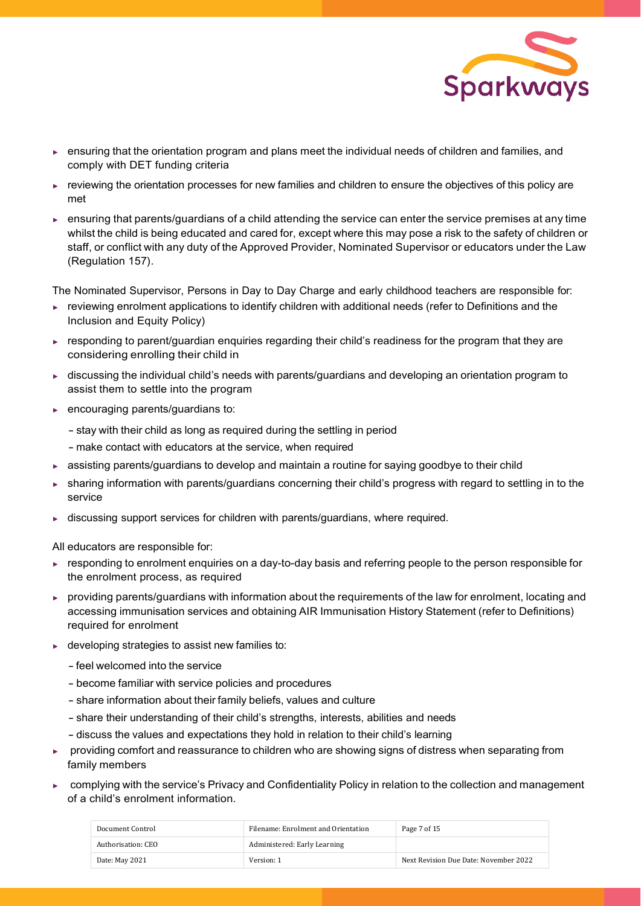

- ► ensuring that the orientation program and plans meet the individual needs of children and families, and comply with DET funding criteria
- ► reviewing the orientation processes for new families and children to ensure the objectives of this policy are met
- ► ensuring that parents/guardians of a child attending the service can enter the service premises at any time whilst the child is being educated and cared for, except where this may pose a risk to the safety of children or staff, or conflict with any duty of the Approved Provider, Nominated Supervisor or educators under the Law (Regulation 157).

The Nominated Supervisor, Persons in Day to Day Charge and early childhood teachers are responsible for:

- ► reviewing enrolment applications to identify children with additional needs (refer to Definitions and the Inclusion and Equity Policy)
- ► responding to parent/guardian enquiries regarding their child's readiness for the program that they are considering enrolling their child in
- ► discussing the individual child's needs with parents/guardians and developing an orientation program to assist them to settle into the program
- ► encouraging parents/guardians to:
	- stay with their child as long as required during the settling in period
	- make contact with educators at the service, when required
- ► assisting parents/guardians to develop and maintain a routine for saying goodbye to their child
- sharing information with parents/guardians concerning their child's progress with regard to settling in to the service
- ► discussing support services for children with parents/guardians, where required.

All educators are responsible for:

- ► responding to enrolment enquiries on a day-to-day basis and referring people to the person responsible for the enrolment process, as required
- ► providing parents/guardians with information about the requirements of the law for enrolment, locating and accessing immunisation services and obtaining AIR Immunisation History Statement (refer to Definitions) required for enrolment
- $\blacktriangleright$  developing strategies to assist new families to:
	- -feel welcomed into the service
	- become familiar with service policies and procedures
	- share information about their family beliefs, values and culture
	- share their understanding of their child's strengths, interests, abilities and needs
	- discuss the values and expectations they hold in relation to their child's learning
- providing comfort and reassurance to children who are showing signs of distress when separating from family members
- ► complying with the service's Privacy and Confidentiality Policy in relation to the collection and management of a child's enrolment information.

| Document Control   | Filename: Enrolment and Orientation | Page 7 of 15                          |
|--------------------|-------------------------------------|---------------------------------------|
| Authorisation: CEO | Administered: Early Learning        |                                       |
| Date: May 2021     | Version: 1                          | Next Revision Due Date: November 2022 |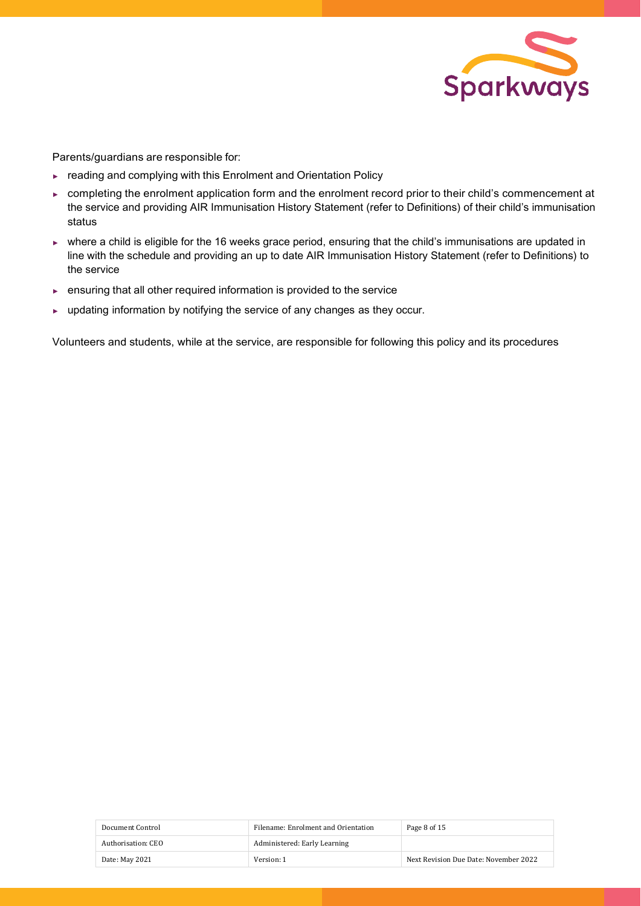

Parents/guardians are responsible for:

- ► reading and complying with this Enrolment and Orientation Policy
- ► completing the enrolment application form and the enrolment record prior to their child's commencement at the service and providing AIR Immunisation History Statement (refer to Definitions) of their child's immunisation status
- ► where a child is eligible for the 16 weeks grace period, ensuring that the child's immunisations are updated in line with the schedule and providing an up to date AIR Immunisation History Statement (refer to Definitions) to the service
- ► ensuring that all other required information is provided to the service
- ► updating information by notifying the service of any changes as they occur.

Volunteers and students, while at the service, are responsible for following this policy and its procedures

| Document Control   | Filename: Enrolment and Orientation | Page 8 of 15                          |
|--------------------|-------------------------------------|---------------------------------------|
| Authorisation: CEO | Administered: Early Learning        |                                       |
| Date: May 2021     | Version: 1                          | Next Revision Due Date: November 2022 |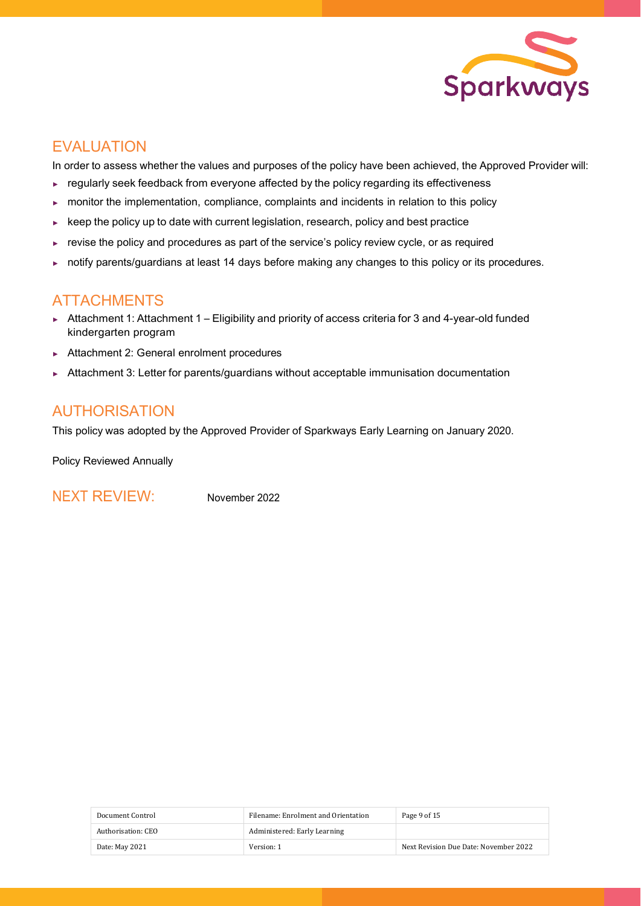

# **EVALUATION**

In order to assess whether the values and purposes of the policy have been achieved, the Approved Provider will:

- ► regularly seek feedback from everyone affected by the policy regarding its effectiveness
- ► monitor the implementation, compliance, complaints and incidents in relation to this policy
- ► keep the policy up to date with current legislation, research, policy and best practice
- ► revise the policy and procedures as part of the service's policy review cycle, or as required
- ► notify parents/guardians at least 14 days before making any changes to this policy or its procedures.

## ATTACHMENTS

- ► Attachment 1: Attachment 1 Eligibility and priority of access criteria for 3 and 4-year-old funded kindergarten program
- ► Attachment 2: General enrolment procedures
- ► Attachment 3: Letter for parents/guardians without acceptable immunisation documentation

# AUTHORISATION

This policy was adopted by the Approved Provider of Sparkways Early Learning on January 2020.

Policy Reviewed Annually

NEXT REVIEW: November 2022

| Document Control   | Filename: Enrolment and Orientation | Page 9 of 15                          |
|--------------------|-------------------------------------|---------------------------------------|
| Authorisation: CEO | Administered: Early Learning        |                                       |
| Date: May 2021     | Version: 1                          | Next Revision Due Date: November 2022 |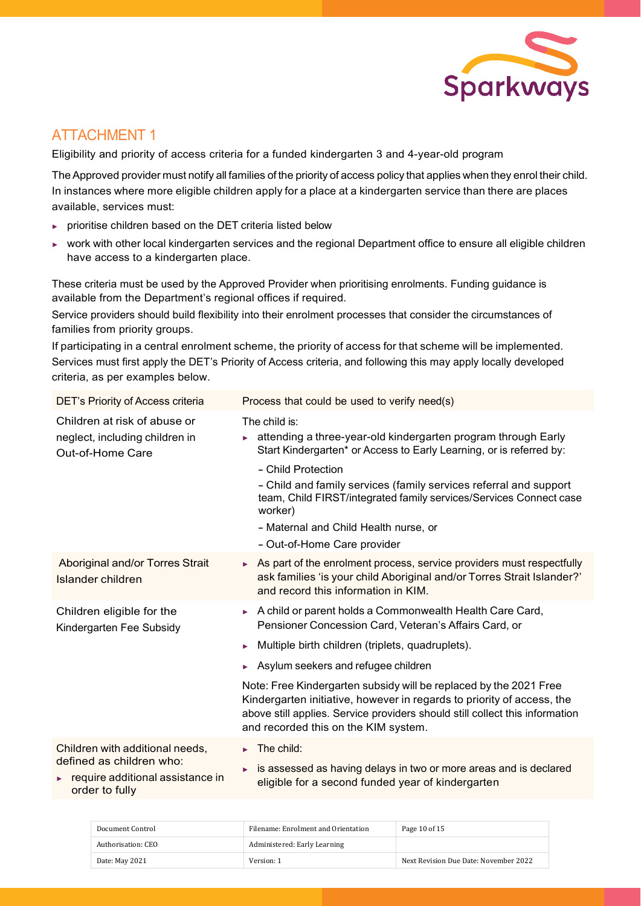

# ATTACHMENT 1

Eligibility and priority of access criteria for a funded kindergarten 3 and 4-year-old program

The Approved provider must notify all families of the priority of access policy that applies when they enrol their child. In instances where more eligible children apply for a place at a kindergarten service than there are places available, services must:

- ► prioritise children based on the DET criteria listed below
- ► work with other local kindergarten services and the regional Department office to ensure all eligible children have access to a kindergarten place.

These criteria must be used by the Approved Provider when prioritising enrolments. Funding guidance is available from the Department's regional offices if required.

Service providers should build flexibility into their enrolment processes that consider the circumstances of families from priority groups.

If participating in a central enrolment scheme, the priority of access for that scheme will be implemented. Services must first apply the DET's Priority of Access criteria, and following this may apply locally developed criteria, as per examples below.

| DET's Priority of Access criteria                                                                                      | Process that could be used to verify need(s)                                                                                                                                                                                                                                                                                                                                                                                                                                                  |
|------------------------------------------------------------------------------------------------------------------------|-----------------------------------------------------------------------------------------------------------------------------------------------------------------------------------------------------------------------------------------------------------------------------------------------------------------------------------------------------------------------------------------------------------------------------------------------------------------------------------------------|
| Children at risk of abuse or<br>neglect, including children in<br>Out-of-Home Care                                     | The child is:<br>attending a three-year-old kindergarten program through Early<br>Start Kindergarten* or Access to Early Learning, or is referred by:<br>- Child Protection<br>- Child and family services (family services referral and support<br>team, Child FIRST/integrated family services/Services Connect case<br>worker)<br>- Maternal and Child Health nurse, or<br>- Out-of-Home Care provider                                                                                     |
| Aboriginal and/or Torres Strait<br>Islander children                                                                   | $\triangleright$ As part of the enrolment process, service providers must respectfully<br>ask families 'is your child Aboriginal and/or Torres Strait Islander?'<br>and record this information in KIM.                                                                                                                                                                                                                                                                                       |
| Children eligible for the<br>Kindergarten Fee Subsidy                                                                  | A child or parent holds a Commonwealth Health Care Card,<br>ь<br>Pensioner Concession Card, Veteran's Affairs Card, or<br>Multiple birth children (triplets, quadruplets).<br>ь<br>Asylum seekers and refugee children<br>Note: Free Kindergarten subsidy will be replaced by the 2021 Free<br>Kindergarten initiative, however in regards to priority of access, the<br>above still applies. Service providers should still collect this information<br>and recorded this on the KIM system. |
| Children with additional needs,<br>defined as children who:<br>require additional assistance in<br>ь<br>order to fully | The child:<br>is assessed as having delays in two or more areas and is declared<br>eligible for a second funded year of kindergarten                                                                                                                                                                                                                                                                                                                                                          |
|                                                                                                                        |                                                                                                                                                                                                                                                                                                                                                                                                                                                                                               |

| Document Control   | Filename: Enrolment and Orientation | Page 10 of 15                         |
|--------------------|-------------------------------------|---------------------------------------|
| Authorisation: CEO | Administered: Early Learning        |                                       |
| Date: May 2021     | Version: 1                          | Next Revision Due Date: November 2022 |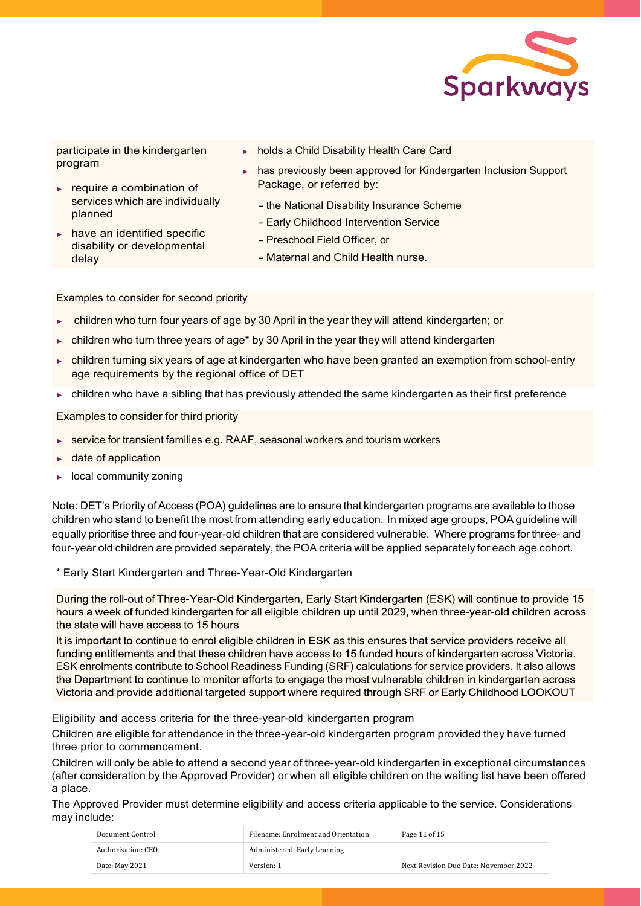

participate in the kindergarten program

- ► require a combination of
	- services which are individually planned
- have an identified specific disability or developmental delay
- ► holds a Child Disability Health Care Card
- has previously been approved for Kindergarten Inclusion Support Package, or referred by:
	- the National Disability Insurance Scheme
	- Early Childhood Intervention Service
	- Preschool Field Officer, or
	- Maternal and Child Health nurse.

Examples to consider for second priority

- children who turn four years of age by 30 April in the year they will attend kindergarten; or
- children who turn three years of age\* by 30 April in the year they will attend kindergarten
- children turning six years of age at kindergarten who have been granted an exemption from school-entry age requirements by the regional office of DET
- ► children who have a sibling that has previously attended the same kindergarten as their first preference

Examples to consider for third priority

- ► service for transient families e.g. RAAF, seasonal workers and tourism workers
- date of application
- local community zoning

Note: DET's Priority of Access (POA) guidelines are to ensure that kindergarten programs are available to those children who stand to benefit the most from attending early education. In mixed age groups, POA guideline will equally prioritise three and four-year-old children that are considered vulnerable. Where programs for three- and four-year old children are provided separately, the POA criteria will be applied separately for each age cohort.

\* Early Start Kindergarten and Three-Year-Old Kindergarten

During the roll-out of Three-Year-Old Kindergarten, Early Start Kindergarten (ESK) will continue to provide 15 hours a week of funded kindergarten for all eligible children up until 2029, when three-year-old children across the state will have access to 15 hours

It is important to continue to enrol eligible children in ESK as this ensures that service providers receive all funding entitlements and that these children have access to 15 funded hours of kindergarten across Victoria. ESK enrolments contribute to School Readiness Funding (SRF) calculations for service providers. It also allows the Department to continue to monitor efforts to engage the most vulnerable children in kindergarten across Victoria and provide additional targeted support where required through SRF or Early Childhood LOOKOUT

Eligibility and access criteria for the three-year-old kindergarten program

Children are eligible for attendance in the three-year-old kindergarten program provided they have turned three prior to commencement.

Children will only be able to attend a second year of three-year-old kindergarten in exceptional circumstances (after consideration by the Approved Provider) or when all eligible children on the waiting list have been offered a place.

The Approved Provider must determine eligibility and access criteria applicable to the service. Considerations may include:

| Document Control   | Filename: Enrolment and Orientation | Page 11 of 15                         |
|--------------------|-------------------------------------|---------------------------------------|
| Authorisation: CEO | Administered: Early Learning        |                                       |
| Date: May 2021     | Version: 1                          | Next Revision Due Date: November 2022 |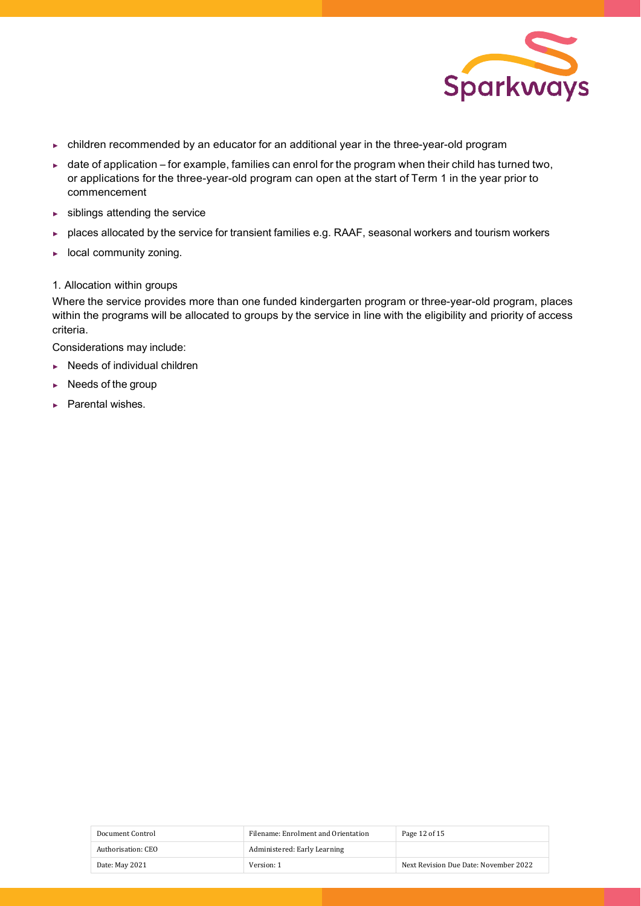

- ► children recommended by an educator for an additional year in the three-year-old program
- ► date of application for example, families can enrol for the program when their child has turned two, or applications for the three-year-old program can open at the start of Term 1 in the year prior to commencement
- ► siblings attending the service
- ► places allocated by the service for transient families e.g. RAAF, seasonal workers and tourism workers
- ► local community zoning.

#### 1. Allocation within groups

Where the service provides more than one funded kindergarten program or three-year-old program, places within the programs will be allocated to groups by the service in line with the eligibility and priority of access criteria.

Considerations may include:

- ► Needs of individual children
- ► Needs of the group
- ► Parental wishes.

| Document Control   | Filename: Enrolment and Orientation | Page 12 of 15                         |
|--------------------|-------------------------------------|---------------------------------------|
| Authorisation: CEO | Administered: Early Learning        |                                       |
| Date: May 2021     | Version: 1                          | Next Revision Due Date: November 2022 |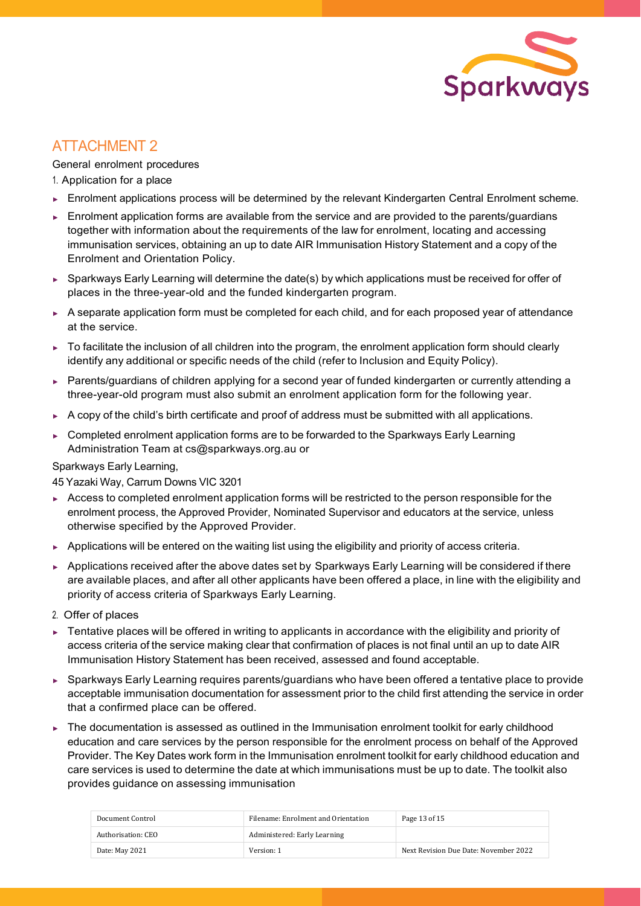

# ATTACHMENT 2

General enrolment procedures

1. Application for a place

- ► Enrolment applications process will be determined by the relevant Kindergarten Central Enrolment scheme.
- ► Enrolment application forms are available from the service and are provided to the parents/guardians together with information about the requirements of the law for enrolment, locating and accessing immunisation services, obtaining an up to date AIR Immunisation History Statement and a copy of the Enrolment and Orientation Policy.
- ► Sparkways Early Learning will determine the date(s) by which applications must be received for offer of places in the three-year-old and the funded kindergarten program.
- ► A separate application form must be completed for each child, and for each proposed year of attendance at the service.
- ► To facilitate the inclusion of all children into the program, the enrolment application form should clearly identify any additional or specific needs of the child (refer to Inclusion and Equity Policy).
- ► Parents/guardians of children applying for a second year of funded kindergarten or currently attending a three-year-old program must also submit an enrolment application form for the following year.
- ► A copy of the child's birth certificate and proof of address must be submitted with all applications.
- ► Completed enrolment application forms are to be forwarded to the Sparkways Early Learning Administration Team at [cs@sparkways.org.au](mailto:cs@sparkways.org.au) or

Sparkways Early Learning,

45 Yazaki Way, Carrum Downs VIC 3201

- ► Access to completed enrolment application forms will be restricted to the person responsible for the enrolment process, the Approved Provider, Nominated Supervisor and educators at the service, unless otherwise specified by the Approved Provider.
- ► Applications will be entered on the waiting list using the eligibility and priority of access criteria.
- ► Applications received after the above dates set by Sparkways Early Learning will be considered if there are available places, and after all other applicants have been offered a place, in line with the eligibility and priority of access criteria of Sparkways Early Learning.
- 2. Offer of places
- ► Tentative places will be offered in writing to applicants in accordance with the eligibility and priority of access criteria of the service making clear that confirmation of places is not final until an up to date AIR Immunisation History Statement has been received, assessed and found acceptable.
- ► Sparkways Early Learning requires parents/guardians who have been offered a tentative place to provide acceptable immunisation documentation for assessment prior to the child first attending the service in order that a confirmed place can be offered.
- ► The documentation is assessed as outlined in the Immunisation enrolment toolkit for early childhood education and care services by the person responsible for the enrolment process on behalf of the Approved Provider. The Key Dates work form in the Immunisation enrolment toolkit for early childhood education and care services is used to determine the date at which immunisations must be up to date. The toolkit also provides guidance on assessing immunisation

| Document Control   | Filename: Enrolment and Orientation | Page 13 of 15                         |
|--------------------|-------------------------------------|---------------------------------------|
| Authorisation: CEO | Administered: Early Learning        |                                       |
| Date: May 2021     | Version: 1                          | Next Revision Due Date: November 2022 |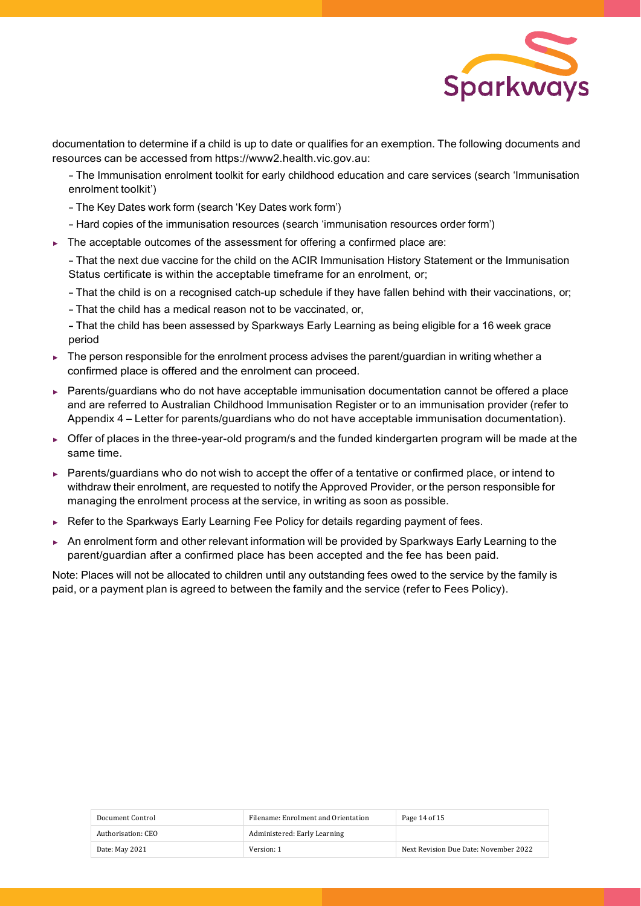

documentation to determine if a child is up to date or qualifies for an exemption. The following documents and resources can be accessed from https://www2.health.vic.gov.au:

- The Immunisation enrolment toolkit for early childhood education and care services (search 'Immunisation enrolment toolkit')

- The Key Dates work form (search 'Key Dates work form')
- Hard copies of the immunisation resources (search 'immunisation resources order form')
- ► The acceptable outcomes of the assessment for offering a confirmed place are:

- That the next due vaccine for the child on the ACIR Immunisation History Statement or the Immunisation Status certificate is within the acceptable timeframe for an enrolment, or;

- That the child is on <sup>a</sup> recognised catch-up schedule if they have fallen behind with their vaccinations, or;

- That the child has <sup>a</sup> medical reason not to be vaccinated, or,

- That the child has been assessed by Sparkways Early Learning as being eligible for <sup>a</sup> <sup>16</sup> week grace period

- ► The person responsible for the enrolment process advises the parent/guardian in writing whether a confirmed place is offered and the enrolment can proceed.
- ► Parents/guardians who do not have acceptable immunisation documentation cannot be offered a place and are referred to Australian Childhood Immunisation Register or to an immunisation provider (refer to Appendix 4 – Letter for parents/guardians who do not have acceptable immunisation documentation).
- ► Offer of places in the three-year-old program/s and the funded kindergarten program will be made at the same time.
- ► Parents/guardians who do not wish to accept the offer of a tentative or confirmed place, or intend to withdraw their enrolment, are requested to notify the Approved Provider, or the person responsible for managing the enrolment process at the service, in writing as soon as possible.
- ► Refer to the Sparkways Early Learning Fee Policy for details regarding payment of fees.
- ► An enrolment form and other relevant information will be provided by Sparkways Early Learning to the parent/guardian after a confirmed place has been accepted and the fee has been paid.

Note: Places will not be allocated to children until any outstanding fees owed to the service by the family is paid, or a payment plan is agreed to between the family and the service (refer to Fees Policy).

| Document Control   | Filename: Enrolment and Orientation | Page 14 of 15                         |
|--------------------|-------------------------------------|---------------------------------------|
| Authorisation: CEO | Administered: Early Learning        |                                       |
| Date: May 2021     | Version: 1                          | Next Revision Due Date: November 2022 |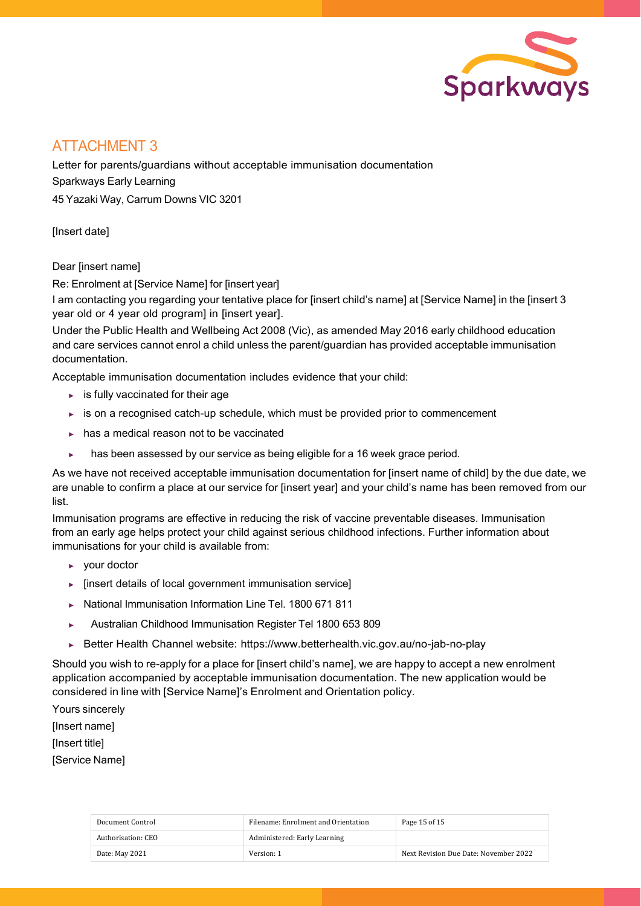

# ATTACHMENT 3

Letter for parents/guardians without acceptable immunisation documentation Sparkways Early Learning 45 Yazaki Way, Carrum Downs VIC 3201

[Insert date]

Dear [insert name]

Re: Enrolment at [Service Name] for [insert year]

I am contacting you regarding your tentative place for [insert child's name] at [Service Name] in the [insert 3 year old or 4 year old program] in [insert year].

Under the Public Health and Wellbeing Act 2008 (Vic), as amended May 2016 early childhood education and care services cannot enrol a child unless the parent/guardian has provided acceptable immunisation documentation.

Acceptable immunisation documentation includes evidence that your child:

- $\blacktriangleright$  is fully vaccinated for their age
- ► is on a recognised catch-up schedule, which must be provided prior to commencement
- ► has a medical reason not to be vaccinated
- ► has been assessed by our service as being eligible for a 16 week grace period.

As we have not received acceptable immunisation documentation for [insert name of child] by the due date, we are unable to confirm a place at our service for [insert year] and your child's name has been removed from our list.

Immunisation programs are effective in reducing the risk of vaccine preventable diseases. Immunisation from an early age helps protect your child against serious childhood infections. Further information about immunisations for your child is available from:

- ► your doctor
- ► [insert details of local government immunisation service]
- ► National Immunisation Information Line Tel. 1800 671 811
- ► Australian Childhood Immunisation Register Tel 1800 653 809
- ► Better Health Channel website: https:/[/www.betterhealth.vic.gov.au/no-jab-no-play](http://www.betterhealth.vic.gov.au/no-jab-no-play)

Should you wish to re-apply for a place for [insert child's name], we are happy to accept a new enrolment application accompanied by acceptable immunisation documentation. The new application would be considered in line with [Service Name]'s Enrolment and Orientation policy.

Yours sincerely [Insert name] [Insert title] [Service Name]

| Document Control   | Filename: Enrolment and Orientation | Page 15 of 15                         |
|--------------------|-------------------------------------|---------------------------------------|
| Authorisation: CEO | Administered: Early Learning        |                                       |
| Date: May 2021     | Version: 1                          | Next Revision Due Date: November 2022 |